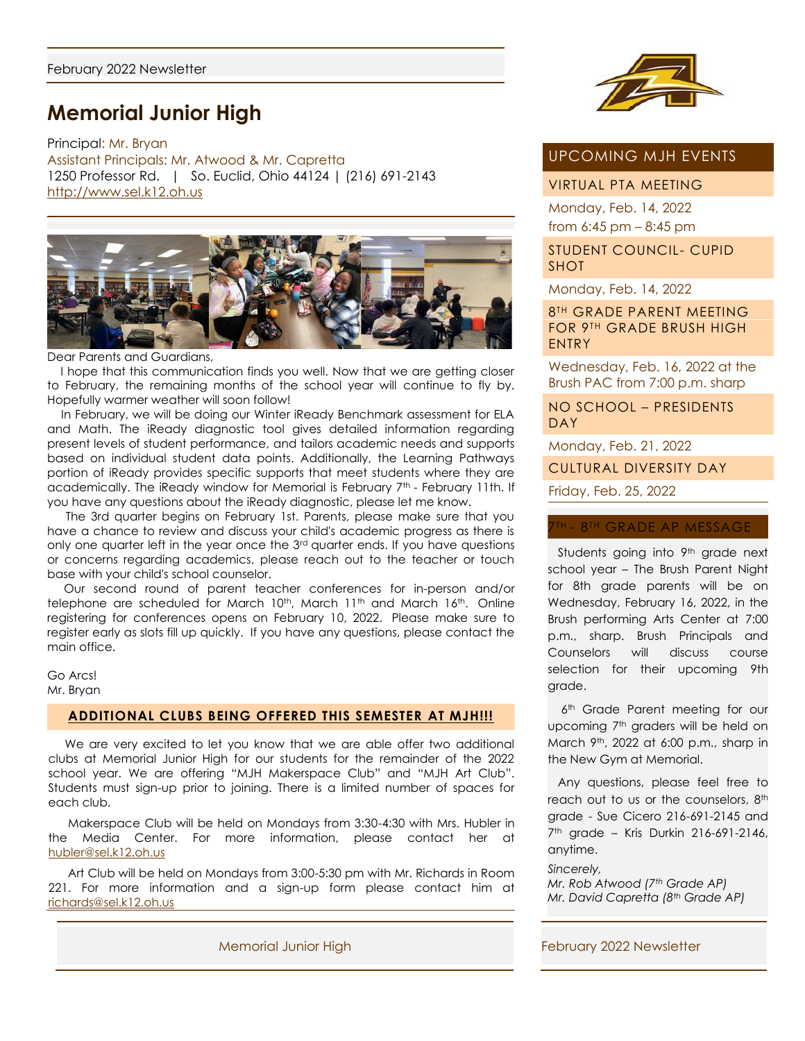# **Memorial Junior High**

Principal: Mr. Bryan Assistant Principals: Mr. Atwood & Mr. Capretta 1250 Professor Rd. | So. Euclid, Ohio 44124 | (216) 691-2143 [http://www.sel.k12.oh.us](http://www.sel.k12.oh.us/)



Dear Parents and Guardians,

I hope that this communication finds you well. Now that we are getting closer to February, the remaining months of the school year will continue to fly by. Hopefully warmer weather will soon follow!

In February, we will be doing our Winter iReady Benchmark assessment for ELA and Math. The iReady diagnostic tool gives detailed information regarding present levels of student performance, and tailors academic needs and supports based on individual student data points. Additionally, the Learning Pathways portion of iReady provides specific supports that meet students where they are academically. The iReady window for Memorial is February 7th - February 11th. If you have any questions about the iReady diagnostic, please let me know.

The 3rd quarter begins on February 1st. Parents, please make sure that you have a chance to review and discuss your child's academic progress as there is only one quarter left in the year once the  $3<sup>rd</sup>$  quarter ends. If you have questions or concerns regarding academics, please reach out to the teacher or touch base with your child's school counselor.

Our second round of parent teacher conferences for in-person and/or telephone are scheduled for March 10<sup>th</sup>, March 11<sup>th</sup> and March 16<sup>th</sup>. Online registering for conferences opens on February 10, 2022. Please make sure to register early as slots fill up quickly. If you have any questions, please contact the main office.

Go Arcs! Mr. Bryan

#### **ADDITIONAL CLUBS BEING OFFERED THIS SEMESTER AT MJH!!!**

 We are very excited to let you know that we are able offer two additional clubs at Memorial Junior High for our students for the remainder of the 2022 school year. We are offering "MJH Makerspace Club" and "MJH Art Club". Students must sign-up prior to joining. There is a limited number of spaces for each club.

 Makerspace Club will be held on Mondays from 3:30-4:30 with Mrs. Hubler in the Media Center. For more information, please contact her at [hubler@sel.k12.oh.us](mailto:hubler@sel.k12.oh.us)

 Art Club will be held on Mondays from 3:00-5:30 pm with Mr. Richards in Room 221. For more information and a sign-up form please contact him at [richards@sel.k12.oh.us](mailto:richards@sel.k12.oh.us)



# UPCOMING MJH EVENTS

VIRTUAL PTA MEETING

Monday, Feb. 14, 2022 from 6:45 pm – 8:45 pm

STUDENT COUNCIL- CUPID SHOT

Monday, Feb. 14, 2022

**8TH GRADE PARENT MEETING** FOR 9TH GRADE BRUSH HIGH ENTRY

Wednesday, Feb. 16, 2022 at the Brush PAC from 7:00 p.m. sharp

NO SCHOOL – PRESIDENTS DAY

Monday, Feb. 21, 2022

CULTURAL DIVERSITY DAY

Friday, Feb. 25, 2022

#### TH - 8TH GRADE AP MESSAGE

Students going into 9<sup>th</sup> grade next school year – The Brush Parent Night for 8th grade parents will be on Wednesday, February 16, 2022, in the Brush performing Arts Center at 7:00 p.m., sharp. Brush Principals and Counselors will discuss course selection for their upcoming 9th grade.

6<sup>th</sup> Grade Parent meeting for our upcoming 7<sup>th</sup> graders will be held on March 9<sup>th</sup>, 2022 at 6:00 p.m., sharp in the New Gym at Memorial.

 Any questions, please feel free to reach out to us or the counselors, 8th grade - Sue Cicero 216-691-2145 and 7 th grade – Kris Durkin 216-691-2146, anytime.

*Sincerely,*

*Mr. Rob Atwood (7th Grade AP) Mr. David Capretta (8th Grade AP)*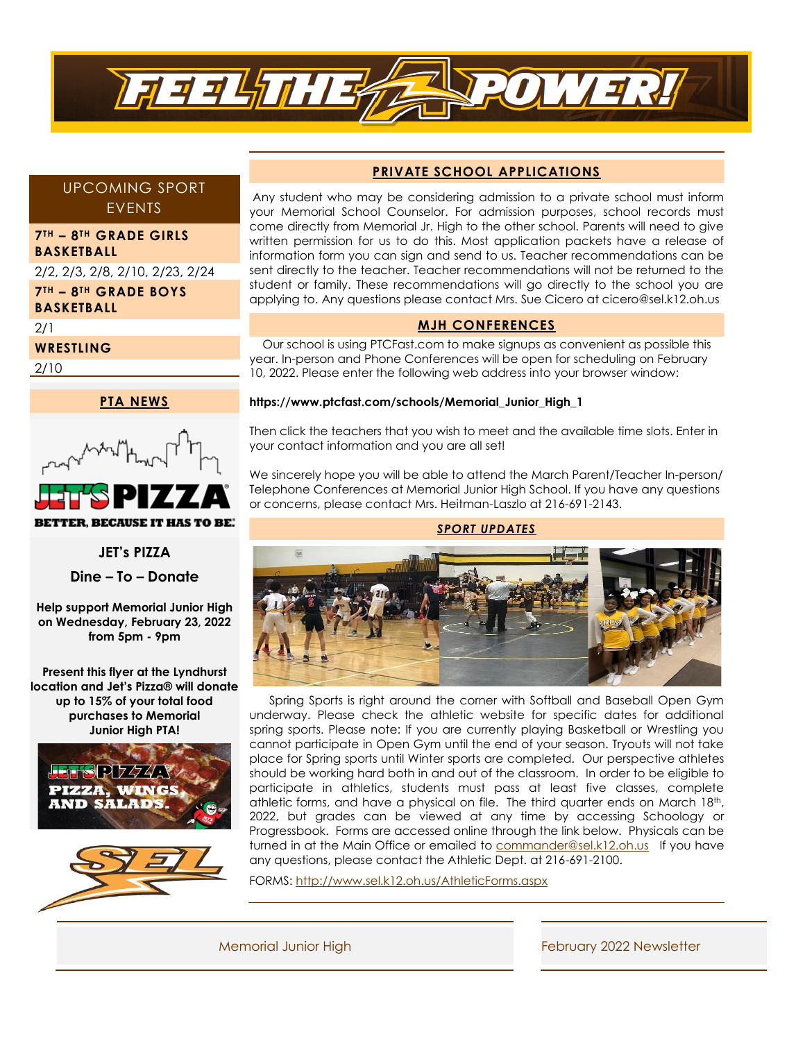

# UPCOMING SPORT EVENTS

## **7TH – 8TH GRADE GIRLS BASKETBALL**

2/2, 2/3, 2/8, 2/10, 2/23, 2/24 **7TH – 8TH GRADE BOYS BASKETBALL** 

2/1

## **WRESTLING**

2/10



**BETTER, BECAUSE IT HAS TO BE.** 

**JET's PIZZA**

**Dine – To – Donate**

**Help support Memorial Junior High on Wednesday, February 23, 2022 from 5pm - 9pm**

**Present this flyer at the Lyndhurst location and Jet's Pizza® will donate up to 15% of your total food purchases to Memorial Junior High PTA!**





# **PRIVATE SCHOOL APPLICATIONS**

Any student who may be considering admission to a private school must inform your Memorial School Counselor. For admission purposes, school records must come directly from Memorial Jr. High to the other school. Parents will need to give written permission for us to do this. Most application packets have a release of information form you can sign and send to us. Teacher recommendations can be sent directly to the teacher. Teacher recommendations will not be returned to the student or family. These recommendations will go directly to the school you are applying to. Any questions please contact Mrs. Sue Cicero at cicero@sel.k12.oh.us

# **MJH CONFERENCES**

Our school is using PTCFast.com to make signups as convenient as possible this year. In-person and Phone Conferences will be open for scheduling on February 10, 2022. Please enter the following web address into your browser window:

#### **https://www.ptcfast.com/schools/Memorial\_Junior\_High\_1**

Then click the teachers that you wish to meet and the available time slots. Enter in your contact information and you are all set!

We sincerely hope you will be able to attend the March Parent/Teacher In-person/ Telephone Conferences at Memorial Junior High School. If you have any questions or concerns, please contact Mrs. Heitman-Laszlo at 216-691-2143.

#### *SPORT UPDATES*



 Spring Sports is right around the corner with Softball and Baseball Open Gym underway. Please check the athletic website for specific dates for additional spring sports. Please note: If you are currently playing Basketball or Wrestling you cannot participate in Open Gym until the end of your season. Tryouts will not take place for Spring sports until Winter sports are completed. Our perspective athletes should be working hard both in and out of the classroom. In order to be eligible to participate in athletics, students must pass at least five classes, complete athletic forms, and have a physical on file. The third quarter ends on March 18th, 2022, but grades can be viewed at any time by accessing Schoology or Progressbook. Forms are accessed online through the link below. Physicals can be turned in at the Main Office or emailed to [commander@sel.k12.oh.us](mailto:commander@sel.k12.oh.us) If you have any questions, please contact the Athletic Dept. at 216-691-2100.

FORMS:<http://www.sel.k12.oh.us/AthleticForms.aspx>

Memorial Junior High **February 2022 Newsletter**